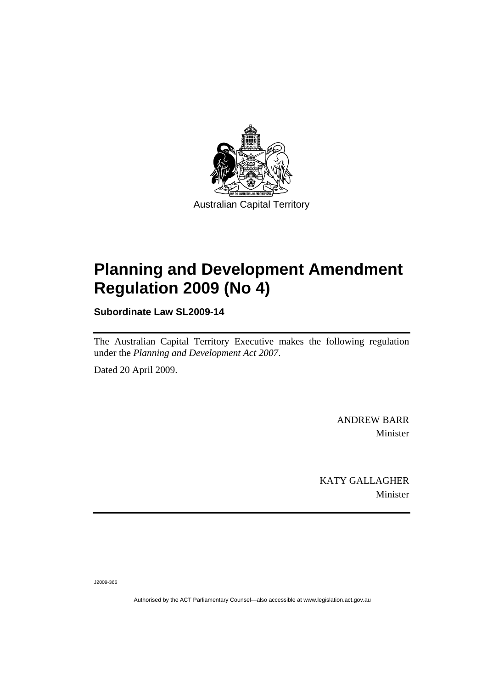

# **[Planning and Development Amendment](#page-2-0)  [Regulation 2009 \(No 4\)](#page-2-0)**

**Subordinate Law SL2009-14** 

The Australian Capital Territory Executive makes the following regulation under the *[Planning and Development Act 2007](#page-2-0)*.

Dated 20 April 2009.

ANDREW BARR Minister

KATY GALLAGHER Minister

J2009-366

Authorised by the ACT Parliamentary Counsel—also accessible at www.legislation.act.gov.au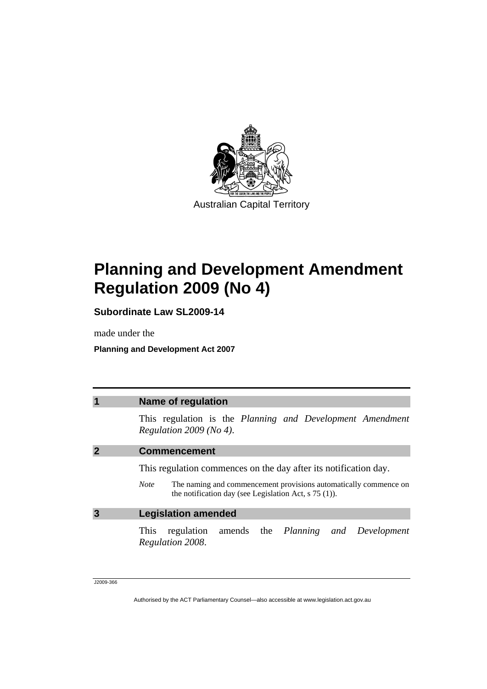<span id="page-2-0"></span>

# **Planning and Development Amendment Regulation 2009 (No 4)**

**Subordinate Law SL2009-14** 

made under the

**Planning and Development Act 2007** 

|   | <b>Name of regulation</b>                                                                                                                  |  |  |  |  |
|---|--------------------------------------------------------------------------------------------------------------------------------------------|--|--|--|--|
|   | This regulation is the Planning and Development Amendment<br>Regulation $2009$ (No 4).                                                     |  |  |  |  |
|   | <b>Commencement</b>                                                                                                                        |  |  |  |  |
|   | This regulation commences on the day after its notification day.                                                                           |  |  |  |  |
|   | The naming and commencement provisions automatically commence on<br><b>Note</b><br>the notification day (see Legislation Act, $s$ 75 (1)). |  |  |  |  |
| 3 | <b>Legislation amended</b>                                                                                                                 |  |  |  |  |
|   | regulation amends the <i>Planning and Development</i><br>This<br>Regulation 2008.                                                          |  |  |  |  |
|   |                                                                                                                                            |  |  |  |  |

J2009-366

Authorised by the ACT Parliamentary Counsel—also accessible at www.legislation.act.gov.au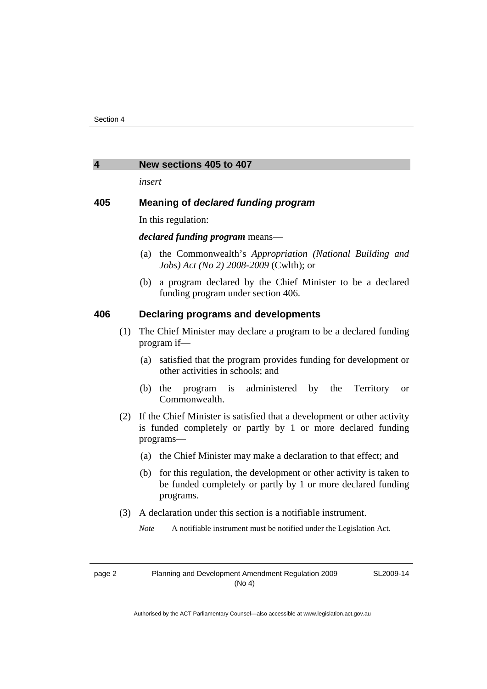#### **4 New sections 405 to 407**

*insert* 

# **405 Meaning of** *declared funding program*

In this regulation:

### *declared funding program* means—

- (a) the Commonwealth's *Appropriation (National Building and Jobs) Act (No 2) 2008-2009* (Cwlth); or
- (b) a program declared by the Chief Minister to be a declared funding program under section 406.

### **406 Declaring programs and developments**

- (1) The Chief Minister may declare a program to be a declared funding program if—
	- (a) satisfied that the program provides funding for development or other activities in schools; and
	- (b) the program is administered by the Territory or Commonwealth.
- (2) If the Chief Minister is satisfied that a development or other activity is funded completely or partly by 1 or more declared funding programs—
	- (a) the Chief Minister may make a declaration to that effect; and
	- (b) for this regulation, the development or other activity is taken to be funded completely or partly by 1 or more declared funding programs.
- (3) A declaration under this section is a notifiable instrument.
	- *Note* A notifiable instrument must be notified under the Legislation Act.

page 2 Planning and Development Amendment Regulation 2009 (No 4)

SL2009-14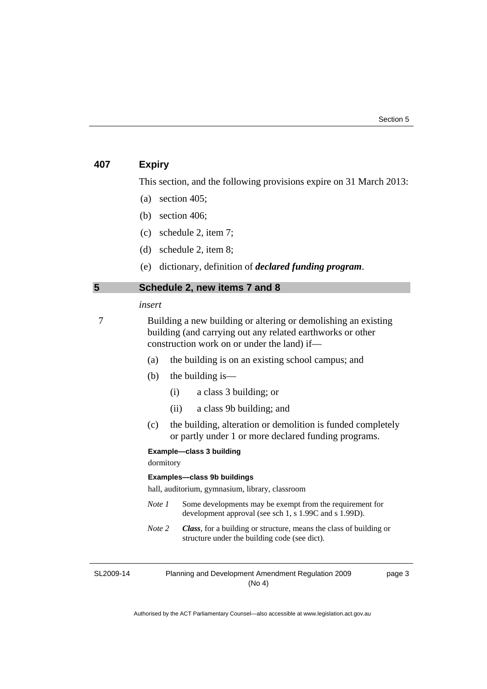# **407 Expiry**

This section, and the following provisions expire on 31 March 2013:

- (a) section 405;
- (b) section 406;
- (c) schedule 2, item 7;
- (d) schedule 2, item 8;
- (e) dictionary, definition of *declared funding program*.

# **5 Schedule 2, new items 7 and 8**

#### *insert*

7 Building a new building or altering or demolishing an existing building (and carrying out any related earthworks or other construction work on or under the land) if—

- (a) the building is on an existing school campus; and
- (b) the building is—
	- (i) a class 3 building; or
	- (ii) a class 9b building; and
- (c) the building, alteration or demolition is funded completely or partly under 1 or more declared funding programs.

#### **Example—class 3 building**

dormitory

#### **Examples—class 9b buildings**

hall, auditorium, gymnasium, library, classroom

- *Note 1* Some developments may be exempt from the requirement for development approval (see sch 1, s 1.99C and s 1.99D).
- *Note 2 Class*, for a building or structure, means the class of building or structure under the building code (see dict).

SL2009-14

Planning and Development Amendment Regulation 2009 (No 4)

page 3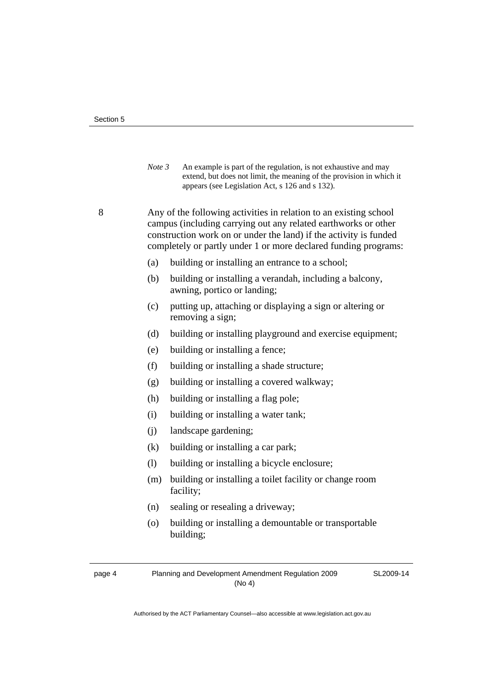*Note 3* An example is part of the regulation, is not exhaustive and may extend, but does not limit, the meaning of the provision in which it appears (see Legislation Act, s 126 and s 132).

8 Any of the following activities in relation to an existing school campus (including carrying out any related earthworks or other construction work on or under the land) if the activity is funded completely or partly under 1 or more declared funding programs:

- (a) building or installing an entrance to a school;
- (b) building or installing a verandah, including a balcony, awning, portico or landing;
- (c) putting up, attaching or displaying a sign or altering or removing a sign;
- (d) building or installing playground and exercise equipment;
- (e) building or installing a fence;
- (f) building or installing a shade structure;
- (g) building or installing a covered walkway;
- (h) building or installing a flag pole;
- (i) building or installing a water tank;
- (j) landscape gardening;
- (k) building or installing a car park;
- (l) building or installing a bicycle enclosure;
- (m) building or installing a toilet facility or change room facility;
- (n) sealing or resealing a driveway;
- (o) building or installing a demountable or transportable building;

SL2009-14